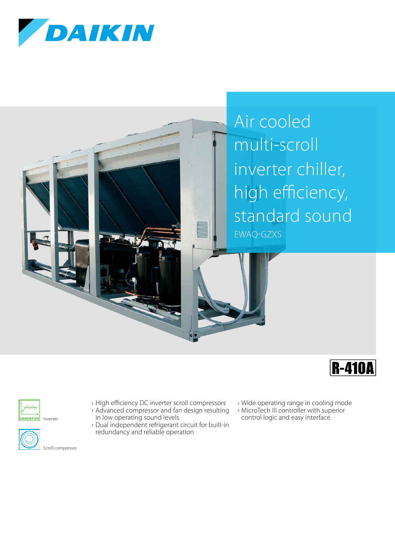

Air cooled multi-scroll inverter chiller, high efficiency, standard sound EWAQ-GZXS





Inverter



Scroll compressor

- › High efficiency DC inverter scroll compressors › Advanced compressor and fan design resulting
- in low operating sound levels › Dual independent refrigerant circuit for built-in redundancy and reliable operation
	-
- › Wide operating range in cooling mode
- › MicroTech III controller with superior
- control logic and easy interface